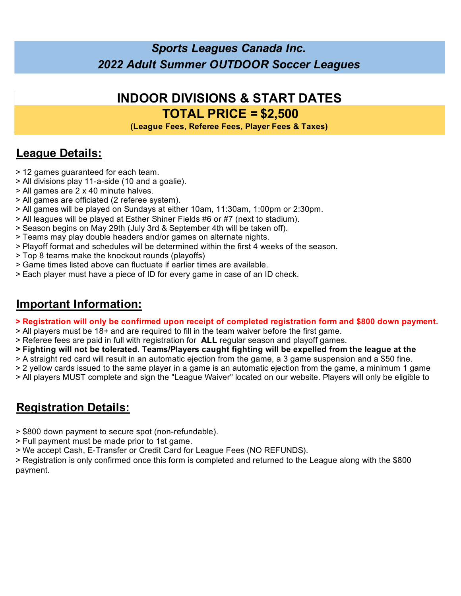### *Sports Leagues Canada Inc. 2022 Adult Summer OUTDOOR Soccer Leagues*

## **INDOOR DIVISIONS & START DATES TOTAL PRICE = \$2,500**

**(League Fees, Referee Fees, Player Fees & Taxes)**

### **League Details:**

- > 12 games guaranteed for each team.
- > All divisions play 11-a-side (10 and a goalie).
- > All games are 2 x 40 minute halves.
- > All games are officiated (2 referee system).
- > All games will be played on Sundays at either 10am, 11:30am, 1:00pm or 2:30pm.
- > All leagues will be played at Esther Shiner Fields #6 or #7 (next to stadium).
- > Season begins on May 29th (July 3rd & September 4th will be taken off).
- > Teams may play double headers and/or games on alternate nights.
- > Playoff format and schedules will be determined within the first 4 weeks of the season.
- > Top 8 teams make the knockout rounds (playoffs)
- > Game times listed above can fluctuate if earlier times are available.
- > Each player must have a piece of ID for every game in case of an ID check.

#### **Important Information:**

#### **> Registration will only be confirmed upon receipt of completed registration form and \$800 down payment.**

- > All players must be 18+ and are required to fill in the team waiver before the first game.
- > Referee fees are paid in full with registration for **ALL** regular season and playoff games.
- **> Fighting will not be tolerated. Teams/Players caught fighting will be expelled from the league at the**
- > A straight red card will result in an automatic ejection from the game, a 3 game suspension and a \$50 fine.
- > 2 yellow cards issued to the same player in a game is an automatic ejection from the game, a minimum 1 game
- > All players MUST complete and sign the "League Waiver" located on our website. Players will only be eligible to

### **Registration Details:**

- > \$800 down payment to secure spot (non-refundable).
- > Full payment must be made prior to 1st game.
- > We accept Cash, E-Transfer or Credit Card for League Fees (NO REFUNDS).

> Registration is only confirmed once this form is completed and returned to the League along with the \$800 payment.